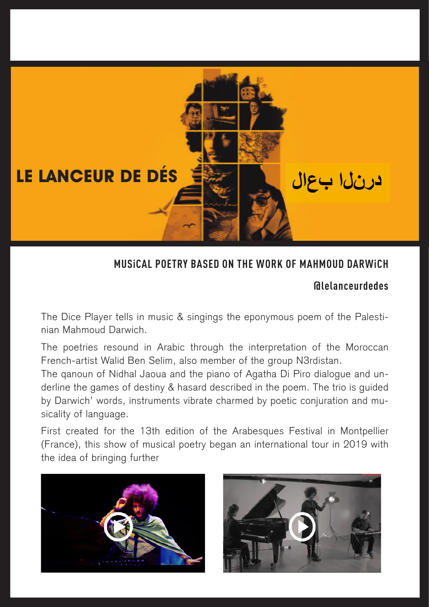

#### **MUSiCAL POETRY BASED ON THE WORK OF MAHMOUD DARWiCH**

### **@lelanceurdedes**

The Dice Player tells in music & singings the eponymous poem of the Palestinian Mahmoud Darwich.

The poetries resound in Arabic through the interpretation of the Moroccan French-artist Walid Ben Selim, also member of the group N3rdistan.

The qanoun of Nidhal Jaoua and the piano of Agatha Di Piro dialogue and underline the games of destiny & hasard described in the poem. The trio is guided by Darwich' words, instruments vibrate charmed by poetic conjuration and musicality of language.

First created for the 13th edition of the Arabesques Festival in Montpellier (France), this show of musical poetry began an international tour in 2019 with the idea of bringing further